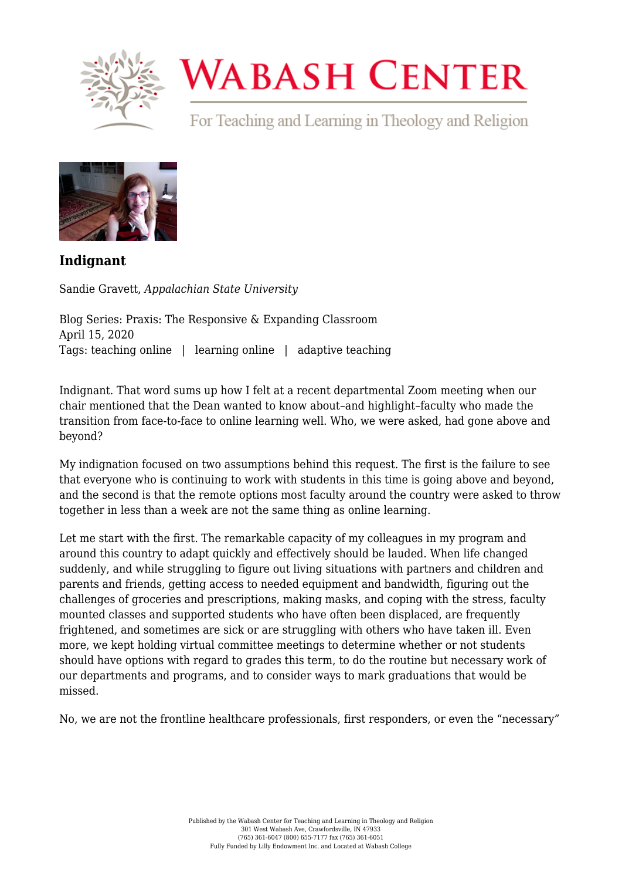

## **WABASH CENTER**

For Teaching and Learning in Theology and Religion



**[Indignant](https://wabashcenter.wabash.edu/2020/04/indignant/)**

Sandie Gravett, *Appalachian State University*

Blog Series: Praxis: The Responsive & Expanding Classroom April 15, 2020 Tags: teaching online | learning online | adaptive teaching

Indignant. That word sums up how I felt at a recent departmental Zoom meeting when our chair mentioned that the Dean wanted to know about–and highlight–faculty who made the transition from face-to-face to online learning well. Who, we were asked, had gone above and beyond?

My indignation focused on two assumptions behind this request. The first is the failure to see that everyone who is continuing to work with students in this time is going above and beyond, and the second is that the remote options most faculty around the country were asked to throw together in less than a week are not the same thing as online learning.

Let me start with the first. The remarkable capacity of my colleagues in my program and around this country to adapt quickly and effectively should be lauded. When life changed suddenly, and while struggling to figure out living situations with partners and children and parents and friends, getting access to needed equipment and bandwidth, figuring out the challenges of groceries and prescriptions, making masks, and coping with the stress, faculty mounted classes and supported students who have often been displaced, are frequently frightened, and sometimes are sick or are struggling with others who have taken ill. Even more, we kept holding virtual committee meetings to determine whether or not students should have options with regard to grades this term, to do the routine but necessary work of our departments and programs, and to consider ways to mark graduations that would be missed.

No, we are not the frontline healthcare professionals, first responders, or even the "necessary"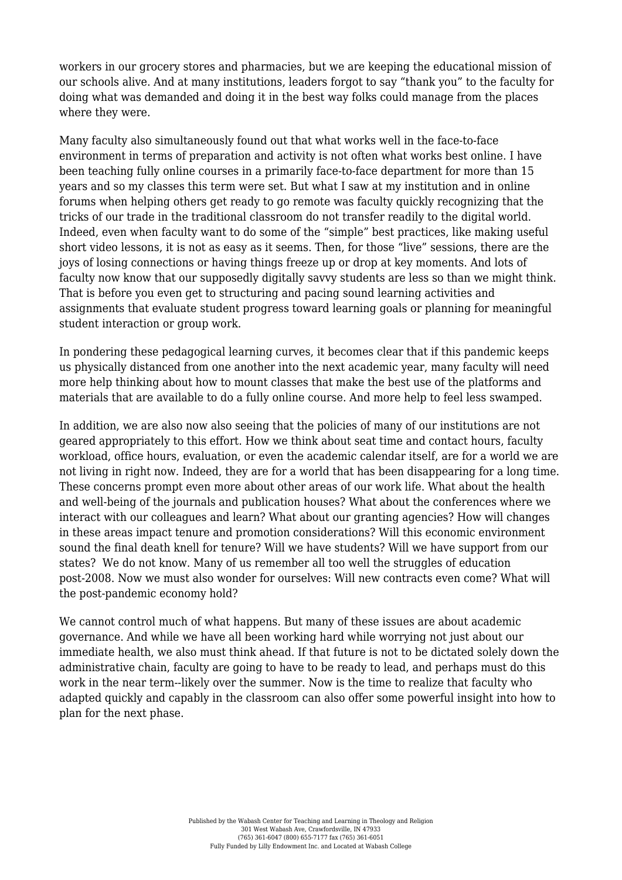workers in our grocery stores and pharmacies, but we are keeping the educational mission of our schools alive. And at many institutions, leaders forgot to say "thank you" to the faculty for doing what was demanded and doing it in the best way folks could manage from the places where they were.

Many faculty also simultaneously found out that what works well in the face-to-face environment in terms of preparation and activity is not often what works best online. I have been teaching fully online courses in a primarily face-to-face department for more than 15 years and so my classes this term were set. But what I saw at my institution and in online forums when helping others get ready to go remote was faculty quickly recognizing that the tricks of our trade in the traditional classroom do not transfer readily to the digital world. Indeed, even when faculty want to do some of the "simple" best practices, like making useful short video lessons, it is not as easy as it seems. Then, for those "live" sessions, there are the joys of losing connections or having things freeze up or drop at key moments. And lots of faculty now know that our supposedly digitally savvy students are less so than we might think. That is before you even get to structuring and pacing sound learning activities and assignments that evaluate student progress toward learning goals or planning for meaningful student interaction or group work.

In pondering these pedagogical learning curves, it becomes clear that if this pandemic keeps us physically distanced from one another into the next academic year, many faculty will need more help thinking about how to mount classes that make the best use of the platforms and materials that are available to do a fully online course. And more help to feel less swamped.

In addition, we are also now also seeing that the policies of many of our institutions are not geared appropriately to this effort. How we think about seat time and contact hours, faculty workload, office hours, evaluation, or even the academic calendar itself, are for a world we are not living in right now. Indeed, they are for a world that has been disappearing for a long time. These concerns prompt even more about other areas of our work life. What about the health and well-being of the journals and publication houses? What about the conferences where we interact with our colleagues and learn? What about our granting agencies? How will changes in these areas impact tenure and promotion considerations? Will this economic environment sound the final death knell for tenure? Will we have students? Will we have support from our states? We do not know. Many of us remember all too well the struggles of education post-2008. Now we must also wonder for ourselves: Will new contracts even come? What will the post-pandemic economy hold?

We cannot control much of what happens. But many of these issues are about academic governance. And while we have all been working hard while worrying not just about our immediate health, we also must think ahead. If that future is not to be dictated solely down the administrative chain, faculty are going to have to be ready to lead, and perhaps must do this work in the near term--likely over the summer. Now is the time to realize that faculty who adapted quickly and capably in the classroom can also offer some powerful insight into how to plan for the next phase.